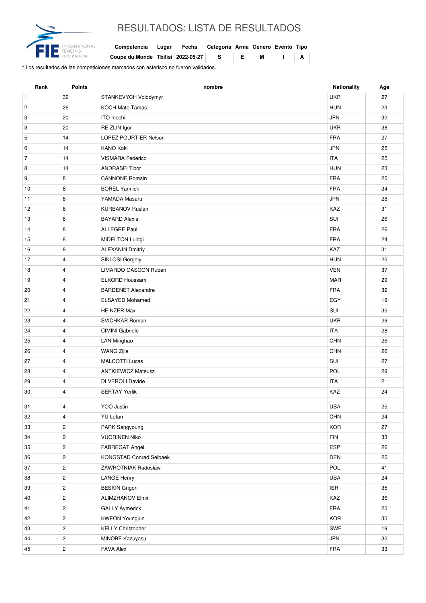

## RESULTADOS: LISTA DE RESULTADOS

| Competencia Lugar Fecha Categoría Arma Género Evento Tipo           |  |      |  |  |
|---------------------------------------------------------------------|--|------|--|--|
| $\vert$ Coupe du Monde $\vert$ Tbilisi $\vert$ 2022-05-27 $\vert$ S |  | IEIM |  |  |

\* Los resultados de las competiciones marcados con asterisco no fueron validados.

| 32<br><b>UKR</b><br>27<br>$\mathbf{1}$<br>STANKEVYCH Volodymyr<br>$\sqrt{2}$<br>26<br><b>KOCH Mate Tamas</b><br><b>HUN</b><br>23<br><b>JPN</b><br>3<br>20<br>ITO Inochi<br>32<br><b>UKR</b><br>3<br>20<br>REIZLIN Igor<br>38<br>5<br>14<br>LOPEZ POURTIER Nelson<br><b>FRA</b><br>27<br>14<br><b>KANO Koki</b><br><b>JPN</b><br>25<br>6<br>$\overline{7}$<br><b>ITA</b><br>14<br><b>VISMARA Federico</b><br>25<br>8<br>14<br><b>ANDRASFI Tibor</b><br><b>HUN</b><br>23<br>9<br>8<br><b>CANNONE Romain</b><br><b>FRA</b><br>25<br><b>FRA</b><br>8<br><b>BOREL Yannick</b><br>34<br>10<br>8<br>YAMADA Masaru<br><b>JPN</b><br>11<br>28<br>KAZ<br>12<br>8<br><b>KURBANOV Ruslan</b><br>31<br>SUI<br>8<br>13<br><b>BAYARD Alexis</b><br>26<br>14<br>8<br><b>ALLEGRE Paul</b><br><b>FRA</b><br>26<br><b>FRA</b><br>8<br><b>MIDELTON Luidgi</b><br>24<br>15 |  |
|-------------------------------------------------------------------------------------------------------------------------------------------------------------------------------------------------------------------------------------------------------------------------------------------------------------------------------------------------------------------------------------------------------------------------------------------------------------------------------------------------------------------------------------------------------------------------------------------------------------------------------------------------------------------------------------------------------------------------------------------------------------------------------------------------------------------------------------------------------|--|
|                                                                                                                                                                                                                                                                                                                                                                                                                                                                                                                                                                                                                                                                                                                                                                                                                                                       |  |
|                                                                                                                                                                                                                                                                                                                                                                                                                                                                                                                                                                                                                                                                                                                                                                                                                                                       |  |
|                                                                                                                                                                                                                                                                                                                                                                                                                                                                                                                                                                                                                                                                                                                                                                                                                                                       |  |
|                                                                                                                                                                                                                                                                                                                                                                                                                                                                                                                                                                                                                                                                                                                                                                                                                                                       |  |
|                                                                                                                                                                                                                                                                                                                                                                                                                                                                                                                                                                                                                                                                                                                                                                                                                                                       |  |
|                                                                                                                                                                                                                                                                                                                                                                                                                                                                                                                                                                                                                                                                                                                                                                                                                                                       |  |
|                                                                                                                                                                                                                                                                                                                                                                                                                                                                                                                                                                                                                                                                                                                                                                                                                                                       |  |
|                                                                                                                                                                                                                                                                                                                                                                                                                                                                                                                                                                                                                                                                                                                                                                                                                                                       |  |
|                                                                                                                                                                                                                                                                                                                                                                                                                                                                                                                                                                                                                                                                                                                                                                                                                                                       |  |
|                                                                                                                                                                                                                                                                                                                                                                                                                                                                                                                                                                                                                                                                                                                                                                                                                                                       |  |
|                                                                                                                                                                                                                                                                                                                                                                                                                                                                                                                                                                                                                                                                                                                                                                                                                                                       |  |
|                                                                                                                                                                                                                                                                                                                                                                                                                                                                                                                                                                                                                                                                                                                                                                                                                                                       |  |
|                                                                                                                                                                                                                                                                                                                                                                                                                                                                                                                                                                                                                                                                                                                                                                                                                                                       |  |
|                                                                                                                                                                                                                                                                                                                                                                                                                                                                                                                                                                                                                                                                                                                                                                                                                                                       |  |
|                                                                                                                                                                                                                                                                                                                                                                                                                                                                                                                                                                                                                                                                                                                                                                                                                                                       |  |
| 8<br><b>ALEXANIN Dmitriy</b><br>KAZ<br>31<br>16                                                                                                                                                                                                                                                                                                                                                                                                                                                                                                                                                                                                                                                                                                                                                                                                       |  |
| $\overline{4}$<br>SIKLOSI Gergely<br><b>HUN</b><br>25<br>17                                                                                                                                                                                                                                                                                                                                                                                                                                                                                                                                                                                                                                                                                                                                                                                           |  |
| <b>VEN</b><br>$\overline{4}$<br>LIMARDO GASCON Ruben<br>37<br>18                                                                                                                                                                                                                                                                                                                                                                                                                                                                                                                                                                                                                                                                                                                                                                                      |  |
| $\overline{4}$<br><b>MAR</b><br>29<br>19<br><b>ELKORD Houssam</b>                                                                                                                                                                                                                                                                                                                                                                                                                                                                                                                                                                                                                                                                                                                                                                                     |  |
| <b>FRA</b><br>$\overline{4}$<br><b>BARDENET Alexandre</b><br>32<br>20                                                                                                                                                                                                                                                                                                                                                                                                                                                                                                                                                                                                                                                                                                                                                                                 |  |
| EGY<br>21<br>$\overline{4}$<br><b>ELSAYED Mohamed</b><br>19                                                                                                                                                                                                                                                                                                                                                                                                                                                                                                                                                                                                                                                                                                                                                                                           |  |
| $\overline{4}$<br><b>HEINZER Max</b><br>SUI<br>35<br>22                                                                                                                                                                                                                                                                                                                                                                                                                                                                                                                                                                                                                                                                                                                                                                                               |  |
| <b>UKR</b><br>23<br>$\overline{4}$<br>SVICHKAR Roman<br>29                                                                                                                                                                                                                                                                                                                                                                                                                                                                                                                                                                                                                                                                                                                                                                                            |  |
| 24<br>$\overline{4}$<br><b>CIMINI</b> Gabriele<br><b>ITA</b><br>28                                                                                                                                                                                                                                                                                                                                                                                                                                                                                                                                                                                                                                                                                                                                                                                    |  |
| 25<br>$\overline{4}$<br><b>CHN</b><br>26<br>LAN Minghao                                                                                                                                                                                                                                                                                                                                                                                                                                                                                                                                                                                                                                                                                                                                                                                               |  |
| CHN<br>$\overline{4}$<br><b>WANG Zijie</b><br>26<br>26                                                                                                                                                                                                                                                                                                                                                                                                                                                                                                                                                                                                                                                                                                                                                                                                |  |
| $\overline{4}$<br><b>MALCOTTI Lucas</b><br>SUI<br>27<br>27                                                                                                                                                                                                                                                                                                                                                                                                                                                                                                                                                                                                                                                                                                                                                                                            |  |
| POL<br><b>ANTKIEWICZ Mateusz</b><br>29<br>28<br>$\overline{4}$                                                                                                                                                                                                                                                                                                                                                                                                                                                                                                                                                                                                                                                                                                                                                                                        |  |
| 29<br>$\overline{4}$<br>DI VEROLI Davide<br><b>ITA</b><br>21                                                                                                                                                                                                                                                                                                                                                                                                                                                                                                                                                                                                                                                                                                                                                                                          |  |
| 30<br>$\overline{4}$<br><b>SERTAY Yerlik</b><br>KAZ<br>24                                                                                                                                                                                                                                                                                                                                                                                                                                                                                                                                                                                                                                                                                                                                                                                             |  |
| YOO Justin<br><b>USA</b><br>31<br>25<br>$\overline{\mathbf{4}}$                                                                                                                                                                                                                                                                                                                                                                                                                                                                                                                                                                                                                                                                                                                                                                                       |  |
| $\overline{4}$<br>YU Lefan<br><b>CHN</b><br>24<br>32                                                                                                                                                                                                                                                                                                                                                                                                                                                                                                                                                                                                                                                                                                                                                                                                  |  |
| $\mathbf{2}$<br>KOR<br>33<br>PARK Sangyoung<br>27                                                                                                                                                                                                                                                                                                                                                                                                                                                                                                                                                                                                                                                                                                                                                                                                     |  |
| $\mathbf{2}$<br><b>FIN</b><br>34<br><b>VUORINEN Niko</b><br>33                                                                                                                                                                                                                                                                                                                                                                                                                                                                                                                                                                                                                                                                                                                                                                                        |  |
| $\mathbf{2}$<br>ESP<br>35<br>FABREGAT Angel<br>26                                                                                                                                                                                                                                                                                                                                                                                                                                                                                                                                                                                                                                                                                                                                                                                                     |  |
| $\mathbf{2}$<br>DEN<br>36<br>KONGSTAD Conrad Seibaek<br>25                                                                                                                                                                                                                                                                                                                                                                                                                                                                                                                                                                                                                                                                                                                                                                                            |  |
| $\overline{2}$<br>POL<br>41<br>37<br>ZAWROTNIAK Radoslaw                                                                                                                                                                                                                                                                                                                                                                                                                                                                                                                                                                                                                                                                                                                                                                                              |  |
| $\mathbf{2}$<br><b>LANGE Henry</b><br>USA<br>38<br>24                                                                                                                                                                                                                                                                                                                                                                                                                                                                                                                                                                                                                                                                                                                                                                                                 |  |
| <b>ISR</b><br>39<br>$\overline{2}$<br><b>BESKIN Grigori</b><br>35                                                                                                                                                                                                                                                                                                                                                                                                                                                                                                                                                                                                                                                                                                                                                                                     |  |
| $\overline{c}$<br>KAZ<br>40<br><b>ALIMZHANOV Elmir</b><br>36                                                                                                                                                                                                                                                                                                                                                                                                                                                                                                                                                                                                                                                                                                                                                                                          |  |
| $\overline{c}$<br><b>GALLY Aymerick</b><br><b>FRA</b><br>25<br>41                                                                                                                                                                                                                                                                                                                                                                                                                                                                                                                                                                                                                                                                                                                                                                                     |  |
| $\mathbf{2}$<br><b>KOR</b><br>42<br><b>KWEON Youngjun</b><br>35                                                                                                                                                                                                                                                                                                                                                                                                                                                                                                                                                                                                                                                                                                                                                                                       |  |
| $\mathbf{2}$<br>43<br><b>KELLY Christopher</b><br>SWE<br>19                                                                                                                                                                                                                                                                                                                                                                                                                                                                                                                                                                                                                                                                                                                                                                                           |  |
| $\mathbf{2}$<br><b>JPN</b><br>44<br>MINOBE Kazuyasu<br>35                                                                                                                                                                                                                                                                                                                                                                                                                                                                                                                                                                                                                                                                                                                                                                                             |  |
| $\overline{2}$<br><b>FRA</b><br>45<br><b>FAVA Alex</b><br>33                                                                                                                                                                                                                                                                                                                                                                                                                                                                                                                                                                                                                                                                                                                                                                                          |  |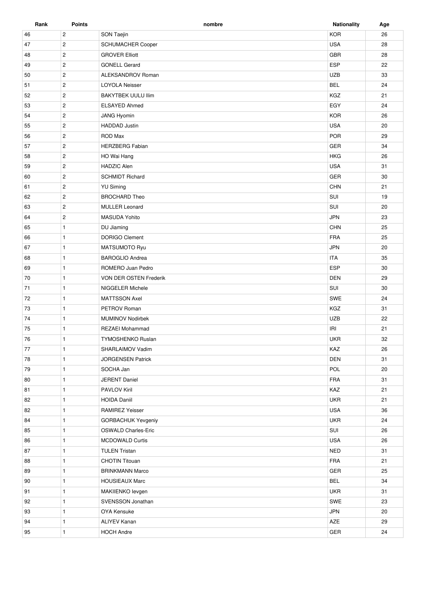| Rank | <b>Points</b>  | nombre                     | <b>Nationality</b> | Age |
|------|----------------|----------------------------|--------------------|-----|
| 46   | $\mathbf{2}$   | SON Taejin                 | <b>KOR</b>         | 26  |
| 47   | $\mathbf{2}$   | SCHUMACHER Cooper          | <b>USA</b>         | 28  |
| 48   | $\mathbf{2}$   | <b>GROVER Elliott</b>      | <b>GBR</b>         | 28  |
| 49   | $\mathbf{2}$   | <b>GONELL Gerard</b>       | ESP                | 22  |
| 50   | $\mathbf{2}$   | ALEKSANDROV Roman          | <b>UZB</b>         | 33  |
| 51   | $\mathbf{2}$   | <b>LOYOLA Neisser</b>      | <b>BEL</b>         | 24  |
| 52   | $\mathbf{2}$   | <b>BAKYTBEK UULU IIim</b>  | KGZ                | 21  |
| 53   | $\overline{2}$ | <b>ELSAYED Ahmed</b>       | EGY                | 24  |
| 54   | $\overline{2}$ | JANG Hyomin                | <b>KOR</b>         | 26  |
| 55   | $\overline{2}$ | <b>HADDAD</b> Justin       | <b>USA</b>         | 20  |
| 56   | $\mathbf{2}$   | ROD Max                    | POR                | 29  |
| 57   | $\mathbf{2}$   | <b>HERZBERG Fabian</b>     | <b>GER</b>         | 34  |
| 58   | $\overline{2}$ | HO Wai Hang                | <b>HKG</b>         | 26  |
| 59   | $\overline{2}$ | <b>HADZIC Alen</b>         | <b>USA</b>         | 31  |
| 60   | $\mathbf{2}$   | <b>SCHMIDT Richard</b>     | GER                | 30  |
| 61   | $\overline{c}$ | <b>YU Siming</b>           | <b>CHN</b>         | 21  |
| 62   | $\overline{c}$ | <b>BROCHARD Theo</b>       | SUI                | 19  |
| 63   | $\mathbf{2}$   | <b>MULLER Leonard</b>      | SUI                | 20  |
| 64   | $\overline{2}$ | <b>MASUDA Yohito</b>       | <b>JPN</b>         | 23  |
| 65   | $\mathbf{1}$   | DU Jiaming                 | <b>CHN</b>         | 25  |
| 66   | $\mathbf{1}$   | <b>DORIGO Clement</b>      | <b>FRA</b>         | 25  |
| 67   | $\mathbf{1}$   | <b>MATSUMOTO Ryu</b>       | <b>JPN</b>         | 20  |
| 68   | $\mathbf{1}$   | <b>BAROGLIO Andrea</b>     | <b>ITA</b>         | 35  |
| 69   | $\mathbf{1}$   | ROMERO Juan Pedro          | <b>ESP</b>         | 30  |
| 70   | $\mathbf{1}$   | VON DER OSTEN Frederik     | DEN                | 29  |
| 71   | $\mathbf{1}$   | NIGGELER Michele           | SUI                | 30  |
| 72   | $\mathbf{1}$   | <b>MATTSSON Axel</b>       | SWE                | 24  |
| 73   | $\mathbf{1}$   | PETROV Roman               | KGZ                | 31  |
| 74   | $\mathbf{1}$   | <b>MUMINOV Nodirbek</b>    | <b>UZB</b>         | 22  |
| 75   | $\mathbf{1}$   | <b>REZAEI Mohammad</b>     | IRI                | 21  |
| 76   | $\mathbf{1}$   | <b>TYMOSHENKO Ruslan</b>   | <b>UKR</b>         | 32  |
| 77   | $\mathbf{1}$   | SHARLAIMOV Vadim           | KAZ                | 26  |
| 78   | $\mathbf{1}$   | <b>JORGENSEN Patrick</b>   | DEN                | 31  |
| 79   | $\mathbf{1}$   | SOCHA Jan                  | POL                | 20  |
| 80   | $\mathbf{1}$   | JERENT Daniel              | FRA                | 31  |
| 81   | $\mathbf{1}$   | PAVLOV Kiril               | KAZ                | 21  |
| 82   | $\mathbf{1}$   | <b>HOIDA Daniil</b>        | <b>UKR</b>         | 21  |
| 82   | $\mathbf{1}$   | RAMIREZ Yeisser            | <b>USA</b>         | 36  |
| 84   | $\mathbf{1}$   | GORBACHUK Yevgeniy         | <b>UKR</b>         | 24  |
| 85   | $\mathbf{1}$   | <b>OSWALD Charles-Eric</b> | SUI                | 26  |
| 86   | $\mathbf{1}$   | <b>MCDOWALD Curtis</b>     | <b>USA</b>         | 26  |
| 87   | $\mathbf{1}$   | <b>TULEN Tristan</b>       | <b>NED</b>         | 31  |
| 88   | $\mathbf{1}$   | <b>CHOTIN Titouan</b>      | <b>FRA</b>         | 21  |
| 89   | $\mathbf{1}$   | <b>BRINKMANN Marco</b>     | GER                | 25  |
| 90   | $\mathbf{1}$   | <b>HOUSIEAUX Marc</b>      | <b>BEL</b>         | 34  |
| 91   | $\mathbf{1}$   | MAKIIENKO levgen           | <b>UKR</b>         | 31  |
| 92   | $\mathbf{1}$   | SVENSSON Jonathan          | SWE                | 23  |
| 93   | $\mathbf{1}$   | OYA Kensuke                | <b>JPN</b>         | 20  |
| 94   | $\mathbf{1}$   | ALIYEV Kanan               | AZE                | 29  |
|      |                |                            |                    |     |
| 95   | $\mathbf{1}$   | <b>HOCH Andre</b>          | GER                | 24  |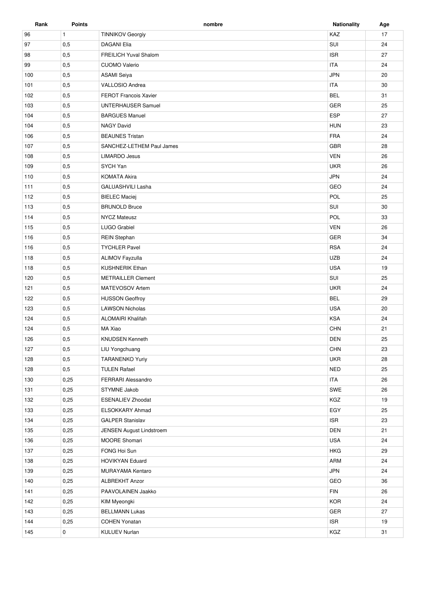| Rank | <b>Points</b> | nombre                       | <b>Nationality</b> | Age |
|------|---------------|------------------------------|--------------------|-----|
| 96   | $\mathbf{1}$  | <b>TINNIKOV Georgiy</b>      | KAZ                | 17  |
| 97   | 0,5           | <b>DAGANI Elia</b>           | SUI                | 24  |
| 98   | 0,5           | <b>FREILICH Yuval Shalom</b> | <b>ISR</b>         | 27  |
| 99   | 0,5           | <b>CUOMO Valerio</b>         | <b>ITA</b>         | 24  |
| 100  | 0,5           | <b>ASAMI Seiya</b>           | <b>JPN</b>         | 20  |
| 101  | 0,5           | VALLOSIO Andrea              | <b>ITA</b>         | 30  |
| 102  | 0,5           | <b>FEROT Francois Xavier</b> | <b>BEL</b>         | 31  |
| 103  | 0,5           | <b>UNTERHAUSER Samuel</b>    | GER                | 25  |
| 104  | 0,5           | <b>BARGUES Manuel</b>        | ESP                | 27  |
| 104  | 0,5           | <b>NAGY David</b>            | <b>HUN</b>         | 23  |
| 106  | 0,5           | <b>BEAUNES Tristan</b>       | <b>FRA</b>         | 24  |
| 107  | 0,5           | SANCHEZ-LETHEM Paul James    | <b>GBR</b>         | 28  |
| 108  | 0,5           | <b>LIMARDO Jesus</b>         | <b>VEN</b>         | 26  |
| 109  | 0,5           | SYCH Yan                     | <b>UKR</b>         | 26  |
| 110  | 0,5           | <b>KOMATA Akira</b>          | <b>JPN</b>         | 24  |
| 111  | 0,5           | GALUASHVILI Lasha            | GEO                | 24  |
| 112  | 0,5           | <b>BIELEC Maciej</b>         | POL                | 25  |
| 113  | 0,5           | <b>BRUNOLD Bruce</b>         | SUI                | 30  |
| 114  | 0,5           | <b>NYCZ Mateusz</b>          | POL                | 33  |
| 115  | 0,5           | <b>LUGO Grabiel</b>          | <b>VEN</b>         | 26  |
| 116  | 0,5           | <b>REIN Stephan</b>          | GER                | 34  |
| 116  | 0,5           | <b>TYCHLER Pavel</b>         | <b>RSA</b>         | 24  |
| 118  | 0,5           | <b>ALIMOV Fayzulla</b>       | <b>UZB</b>         | 24  |
| 118  | 0,5           | <b>KUSHNERIK Ethan</b>       | <b>USA</b>         | 19  |
| 120  | 0,5           | <b>METRAILLER Clement</b>    | SUI                | 25  |
| 121  | 0,5           | MATEVOSOV Artem              | <b>UKR</b>         | 24  |
| 122  | 0,5           | <b>HUSSON Geoffroy</b>       | <b>BEL</b>         | 29  |
| 123  | 0,5           | <b>LAWSON Nicholas</b>       | <b>USA</b>         | 20  |
| 124  | 0,5           | <b>ALOMAIRI Khalifah</b>     | <b>KSA</b>         | 24  |
| 124  | 0,5           | MA Xiao                      | <b>CHN</b>         | 21  |
| 126  | 0,5           | <b>KNUDSEN Kenneth</b>       | <b>DEN</b>         | 25  |
| 127  | 0,5           | LIU Yongchuang               | <b>CHN</b>         | 23  |
| 128  | 0,5           | <b>TARANENKO Yuriy</b>       | <b>UKR</b>         | 28  |
| 128  | 0,5           | <b>TULEN Rafael</b>          | <b>NED</b>         | 25  |
| 130  | 0,25          | <b>FERRARI Alessandro</b>    | <b>ITA</b>         | 26  |
| 131  | 0,25          | STYMNE Jakob                 | SWE                | 26  |
| 132  | 0,25          | <b>ESENALIEV Zhoodat</b>     | KGZ                | 19  |
| 133  | 0,25          | ELSOKKARY Ahmad              | EGY                | 25  |
| 134  | 0,25          | <b>GALPER Stanislav</b>      | <b>ISR</b>         | 23  |
| 135  | 0,25          | JENSEN August Lindstroem     | <b>DEN</b>         | 21  |
| 136  | 0,25          | <b>MOORE Shomari</b>         | <b>USA</b>         | 24  |
| 137  | 0,25          | FONG Hoi Sun                 | <b>HKG</b>         | 29  |
| 138  | 0,25          | <b>HOVIKYAN Eduard</b>       | ARM                | 24  |
| 139  | 0,25          | MURAYAMA Kentaro             | <b>JPN</b>         | 24  |
| 140  | 0,25          | <b>ALBREKHT Anzor</b>        | GEO                | 36  |
| 141  | 0,25          | PAAVOLAINEN Jaakko           | <b>FIN</b>         | 26  |
| 142  | 0,25          | KIM Myeongki                 | <b>KOR</b>         | 24  |
| 143  | 0,25          | <b>BELLMANN Lukas</b>        | GER                | 27  |
| 144  | 0,25          | <b>COHEN Yonatan</b>         | <b>ISR</b>         | 19  |
| 145  | 0             | <b>KULUEV Nurlan</b>         | KGZ                | 31  |
|      |               |                              |                    |     |